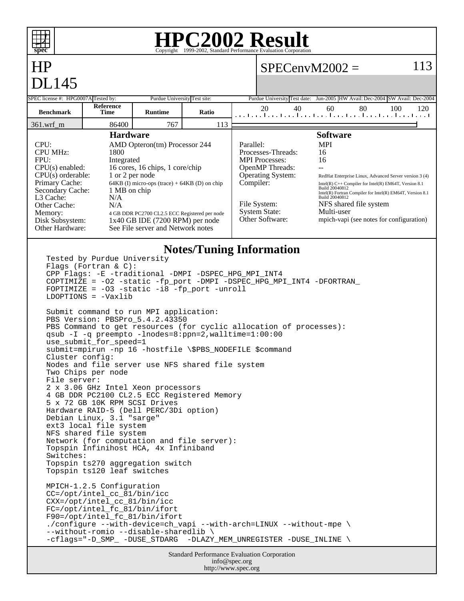

info@spec.org http://www.spec.org